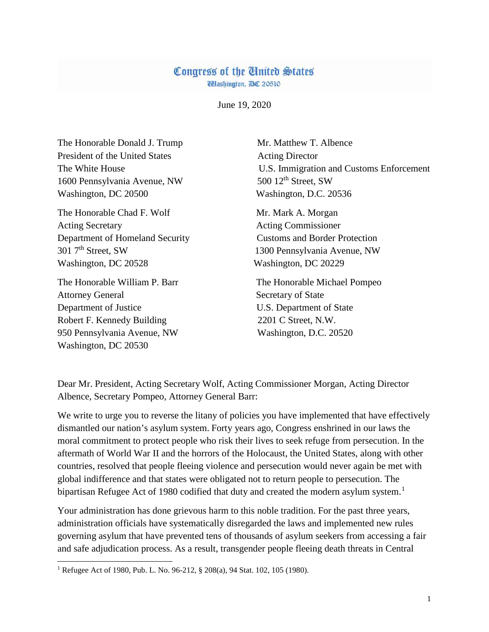## Congress of the United States **Washington, DC 20510**

June 19, 2020

The Honorable Donald J. Trump Mr. Matthew T. Albence President of the United States Acting Director 1600 Pennsylvania Avenue, NW 500 12<sup>th</sup> Street, SW Washington, DC 20500 Washington, D.C. 20536

The Honorable Chad F. Wolf Mr. Mark A. Morgan Acting Secretary Acting Commissioner Department of Homeland Security Customs and Border Protection 301 7th Street, SW 1300 Pennsylvania Avenue, NW Washington, DC 20528 Washington, DC 20229

Attorney General Secretary of State Department of Justice U.S. Department of State Robert F. Kennedy Building 2201 C Street, N.W. 950 Pennsylvania Avenue, NW Washington, D.C. 20520 Washington, DC 20530

The White House U.S. Immigration and Customs Enforcement

The Honorable William P. Barr The Honorable Michael Pompeo

Dear Mr. President, Acting Secretary Wolf, Acting Commissioner Morgan, Acting Director Albence, Secretary Pompeo, Attorney General Barr:

We write to urge you to reverse the litany of policies you have implemented that have effectively dismantled our nation's asylum system. Forty years ago, Congress enshrined in our laws the moral commitment to protect people who risk their lives to seek refuge from persecution. In the aftermath of World War II and the horrors of the Holocaust, the United States, along with other countries, resolved that people fleeing violence and persecution would never again be met with global indifference and that states were obligated not to return people to persecution. The bipartisan Refugee Act of [1](#page-0-0)980 codified that duty and created the modern asylum system.<sup>1</sup>

Your administration has done grievous harm to this noble tradition. For the past three years, administration officials have systematically disregarded the laws and implemented new rules governing asylum that have prevented tens of thousands of asylum seekers from accessing a fair and safe adjudication process. As a result, transgender people fleeing death threats in Central

<span id="page-0-0"></span><sup>&</sup>lt;sup>1</sup> Refugee Act of 1980, Pub. L. No. 96-212, § 208(a), 94 Stat. 102, 105 (1980).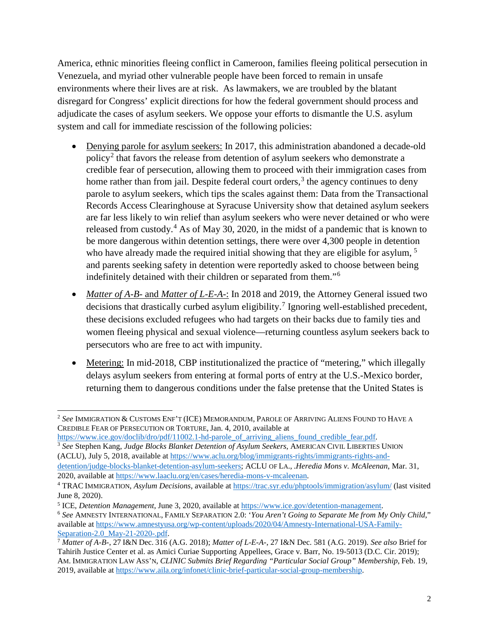America, ethnic minorities fleeing conflict in Cameroon, families fleeing political persecution in Venezuela, and myriad other vulnerable people have been forced to remain in unsafe environments where their lives are at risk. As lawmakers, we are troubled by the blatant disregard for Congress' explicit directions for how the federal government should process and adjudicate the cases of asylum seekers. We oppose your efforts to dismantle the U.S. asylum system and call for immediate rescission of the following policies:

- Denying parole for asylum seekers: In 2017, this administration abandoned a decade-old policy[2](#page-1-0) that favors the release from detention of asylum seekers who demonstrate a credible fear of persecution, allowing them to proceed with their immigration cases from home rather than from jail. Despite federal court orders,<sup>[3](#page-1-1)</sup> the agency continues to deny parole to asylum seekers, which tips the scales against them: Data from the Transactional Records Access Clearinghouse at Syracuse University show that detained asylum seekers are far less likely to win relief than asylum seekers who were never detained or who were released from custody.<sup>[4](#page-1-2)</sup> As of May 30, 2020, in the midst of a pandemic that is known to be more dangerous within detention settings, there were over 4,300 people in detention who have already made the required initial showing that they are eligible for asylum,  $5$ and parents seeking safety in detention were reportedly asked to choose between being indefinitely detained with their children or separated from them."[6](#page-1-4)
- *Matter of A-B-* and *Matter of L-E-A-*: In 2018 and 2019, the Attorney General issued two decisions that drastically curbed asylum eligibility.<sup>[7](#page-1-5)</sup> Ignoring well-established precedent, these decisions excluded refugees who had targets on their backs due to family ties and women fleeing physical and sexual violence—returning countless asylum seekers back to persecutors who are free to act with impunity.
- Metering: In mid-2018, CBP institutionalized the practice of "metering," which illegally delays asylum seekers from entering at formal ports of entry at the U.S.-Mexico border, returning them to dangerous conditions under the false pretense that the United States is

<span id="page-1-0"></span> <sup>2</sup> *See* IMMIGRATION & CUSTOMS ENF'T (ICE) MEMORANDUM, PAROLE OF ARRIVING ALIENS FOUND TO HAVE A CREDIBLE FEAR OF PERSECUTION OR TORTURE, Jan. 4, 2010, available at

<span id="page-1-1"></span>https://www.ice.gov/doclib/dro/pdf/11002.1-hd-parole of arriving aliens found credible fear.pdf. <sup>3</sup> *See* Stephen Kang, *Judge Blocks Blanket Detention of Asylum Seekers*, AMERICAN CIVIL LIBERTIES UNION (ACLU), July 5, 2018, available at [https://www.aclu.org/blog/immigrants-rights/immigrants-rights-and](https://www.aclu.org/blog/immigrants-rights/immigrants-rights-and-detention/judge-blocks-blanket-detention-asylum-seekers)[detention/judge-blocks-blanket-detention-asylum-seekers;](https://www.aclu.org/blog/immigrants-rights/immigrants-rights-and-detention/judge-blocks-blanket-detention-asylum-seekers) ACLU OF LA., .*Heredia Mons v. McAleenan*, Mar. 31, 2020, available at [https://www.laaclu.org/en/cases/heredia-mons-v-mcaleenan.](https://www.laaclu.org/en/cases/heredia-mons-v-mcaleenan)

<span id="page-1-2"></span><sup>4</sup> TRAC IMMIGRATION, *Asylum Decisions*, available at<https://trac.syr.edu/phptools/immigration/asylum/> (last visited June 8, 2020).

<span id="page-1-3"></span><sup>5</sup> ICE, *Detention Management*, June 3, 2020, available at [https://www.ice.gov/detention-management.](https://www.ice.gov/detention-management)

<span id="page-1-4"></span><sup>6</sup> *See* AMNESTY INTERNATIONAL, FAMILY SEPARATION 2.0: '*You Aren't Going to Separate Me from My Only Child*," available at https://www.amnestyusa.org/wp-content/uploads/2020/04/Amnesty-International-USA-Family-Separation-2.0\_May-21-2020-.pdf

<span id="page-1-5"></span>[Separation-2.0\\_May-21-2020-.pdf.](https://www.amnestyusa.org/wp-content/uploads/2020/04/Amnesty-International-USA-Family-Separation-2.0_May-21-2020-.pdf) 7 *Matter of A-B-*, 27 I&N Dec. <sup>316</sup> (A.G. 2018); *Matter of L-E-A-*, 27 I&N Dec. 581 (A.G. 2019). *See also* Brief for Tahirih Justice Center et al. as Amici Curiae Supporting Appellees, Grace v. Barr, No. 19-5013 (D.C. Cir. 2019); AM. IMMIGRATION LAW ASS'N, *CLINIC Submits Brief Regarding "Particular Social Group" Membership*, Feb. 19, 2019, available at [https://www.aila.org/infonet/clinic-brief-particular-social-group-membership.](https://www.aila.org/infonet/clinic-brief-particular-social-group-membership)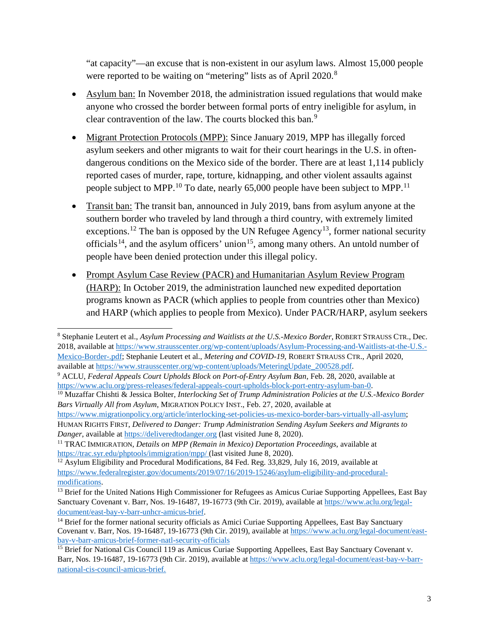"at capacity"—an excuse that is non-existent in our asylum laws. Almost 15,000 people were reported to be waiting on "metering" lists as of April 2020.<sup>[8](#page-2-0)</sup>

- Asylum ban: In November 2018, the administration issued regulations that would make anyone who crossed the border between formal ports of entry ineligible for asylum, in clear contravention of the law. The courts blocked this ban.<sup>[9](#page-2-1)</sup>
- Migrant Protection Protocols (MPP): Since January 2019, MPP has illegally forced asylum seekers and other migrants to wait for their court hearings in the U.S. in oftendangerous conditions on the Mexico side of the border. There are at least 1,114 publicly reported cases of murder, rape, torture, kidnapping, and other violent assaults against people subject to MPP.<sup>[10](#page-2-2)</sup> To date, nearly 65,000 people have been subject to MPP.<sup>[11](#page-2-3)</sup>
- Transit ban: The transit ban, announced in July 2019, bans from asylum anyone at the southern border who traveled by land through a third country, with extremely limited exceptions.<sup>[12](#page-2-4)</sup> The ban is opposed by the UN Refugee Agency<sup>13</sup>, former national security officials<sup>[14](#page-2-6)</sup>, and the asylum officers' union<sup>[15](#page-2-7)</sup>, among many others. An untold number of people have been denied protection under this illegal policy.
- Prompt Asylum Case Review (PACR) and Humanitarian Asylum Review Program (HARP): In October 2019, the administration launched new expedited deportation programs known as PACR (which applies to people from countries other than Mexico) and HARP (which applies to people from Mexico). Under PACR/HARP, asylum seekers

[https://www.migrationpolicy.org/article/interlocking-set-policies-us-mexico-border-bars-virtually-all-asylum;](https://www.migrationpolicy.org/article/interlocking-set-policies-us-mexico-border-bars-virtually-all-asylum) HUMAN RIGHTS FIRST, *Delivered to Danger: Trump Administration Sending Asylum Seekers and Migrants to Danger*, available at [https://deliveredtodanger.org](https://deliveredtodanger.org/) (last visited June 8, 2020).

<span id="page-2-0"></span> <sup>8</sup> Stephanie Leutert et al., *Asylum Processing and Waitlists at the U.S.-Mexico Border*, ROBERT STRAUSS CTR., Dec. 2018, available at [https://www.strausscenter.org/wp-content/uploads/Asylum-Processing-and-Waitlists-at-the-U.S.-](https://www.strausscenter.org/wp-content/uploads/Asylum-Processing-and-Waitlists-at-the-U.S.-Mexico-Border-.pdf) [Mexico-Border-.pdf;](https://www.strausscenter.org/wp-content/uploads/Asylum-Processing-and-Waitlists-at-the-U.S.-Mexico-Border-.pdf) Stephanie Leutert et al., *Metering and COVID-19*, ROBERT STRAUSS CTR., April 2020,

<span id="page-2-1"></span><sup>&</sup>lt;sup>9</sup> ACLU, *Federal Appeals Court Upholds Block on Port-of-Entry Asylum Ban*, Feb. 28, 2020, available at [https://www.aclu.org/press-releases/federal-appeals-court-upholds-block-port-entry-asylum-ban-0.](https://www.aclu.org/press-releases/federal-appeals-court-upholds-block-port-entry-asylum-ban-0)

<span id="page-2-2"></span><sup>&</sup>lt;sup>10</sup> Muzaffar Chishti & Jessica Bolter, *Interlocking Set of Trump Administration Policies at the U.S.-Mexico Border Bars Virtually All from Asylum*, MIGRATION POLICY INST., Feb. 27, 2020, available at

<span id="page-2-3"></span><sup>11</sup> TRAC IMMIGRATION, *Details on MPP (Remain in Mexico) Deportation Proceedings*, available at <https://trac.syr.edu/phptools/immigration/mpp/> (last visited June 8, 2020).

<span id="page-2-4"></span><sup>&</sup>lt;sup>12</sup> Asylum Eligibility and Procedural Modifications, 84 Fed. Reg. 33,829, July 16, 2019, available at [https://www.federalregister.gov/documents/2019/07/16/2019-15246/asylum-eligibility-and-procedural](https://www.federalregister.gov/documents/2019/07/16/2019-15246/asylum-eligibility-and-procedural-modifications)[modifications.](https://www.federalregister.gov/documents/2019/07/16/2019-15246/asylum-eligibility-and-procedural-modifications)

<span id="page-2-5"></span><sup>&</sup>lt;sup>13</sup> Brief for the United Nations High Commissioner for Refugees as Amicus Curiae Supporting Appellees, East Bay Sanctuary Covenant v. Barr, Nos. 19-16487, 19-16773 (9th Cir. 2019), available at [https://www.aclu.org/legal](https://www.aclu.org/legal-document/east-bay-v-barr-unhcr-amicus-brief)[document/east-bay-v-barr-unhcr-amicus-brief.](https://www.aclu.org/legal-document/east-bay-v-barr-unhcr-amicus-brief)

<span id="page-2-6"></span><sup>&</sup>lt;sup>14</sup> Brief for the former national security officials as Amici Curiae Supporting Appellees, East Bay Sanctuary Covenant v. Barr, Nos. 19-16487, 19-16773 (9th Cir. 2019), available at [https://www.aclu.org/legal-document/east](https://www.aclu.org/legal-document/east-bay-v-barr-amicus-brief-former-natl-security-officials)[bay-v-barr-amicus-brief-former-natl-security-officials](https://www.aclu.org/legal-document/east-bay-v-barr-amicus-brief-former-natl-security-officials)

<span id="page-2-7"></span><sup>&</sup>lt;sup>15</sup> Brief for National Cis Council 119 as Amicus Curiae Supporting Appellees, East Bay Sanctuary Covenant v. Barr, Nos. 19-16487, 19-16773 (9th Cir. 2019), available at [https://www.aclu.org/legal-document/east-bay-v-barr](https://www.aclu.org/legal-document/east-bay-v-barr-national-cis-council-amicus-brief)[national-cis-council-amicus-brief.](https://www.aclu.org/legal-document/east-bay-v-barr-national-cis-council-amicus-brief)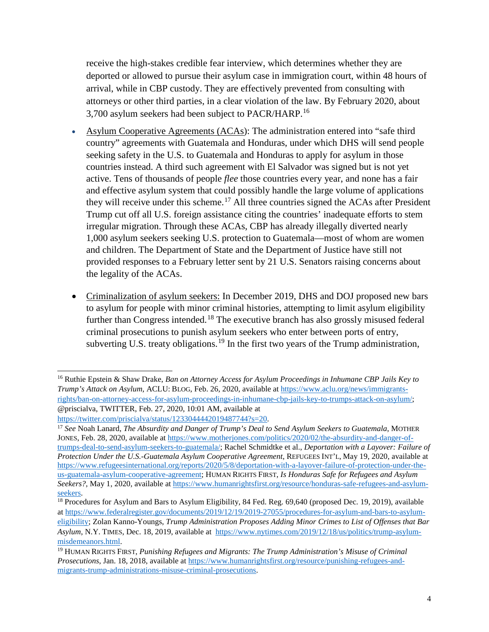receive the high-stakes credible fear interview, which determines whether they are deported or allowed to pursue their asylum case in immigration court, within 48 hours of arrival, while in CBP custody. They are effectively prevented from consulting with attorneys or other third parties, in a clear violation of the law. By February 2020, about 3,700 asylum seekers had been subject to PACR/HARP.<sup>[16](#page-3-0)</sup>

- Asylum Cooperative Agreements (ACAs): The administration entered into "safe third country" agreements with Guatemala and Honduras, under which DHS will send people seeking safety in the U.S. to Guatemala and Honduras to apply for asylum in those countries instead. A third such agreement with El Salvador was signed but is not yet active. Tens of thousands of people *flee* those countries every year, and none has a fair and effective asylum system that could possibly handle the large volume of applications they will receive under this scheme.<sup>[17](#page-3-1)</sup> All three countries signed the ACAs after President Trump cut off all U.S. foreign assistance citing the countries' inadequate efforts to stem irregular migration. Through these ACAs, CBP has already illegally diverted nearly 1,000 asylum seekers seeking U.S. protection to Guatemala—most of whom are women and children. The Department of State and the Department of Justice have still not provided responses to a February letter sent by 21 U.S. Senators raising concerns about the legality of the ACAs.
- Criminalization of asylum seekers: In December 2019, DHS and DOJ proposed new bars to asylum for people with minor criminal histories, attempting to limit asylum eligibility further than Congress intended.<sup>[18](#page-3-2)</sup> The executive branch has also grossly misused federal criminal prosecutions to punish asylum seekers who enter between ports of entry, subverting U.S. treaty obligations.<sup>[19](#page-3-3)</sup> In the first two years of the Trump administration,

<span id="page-3-0"></span> <sup>16</sup> Ruthie Epstein & Shaw Drake, *Ban on Attorney Access for Asylum Proceedings in Inhumane CBP Jails Key to Trump's Attack on Asylum*, ACLU: BLOG, Feb. 26, 2020, available at [https://www.aclu.org/news/immigrants](https://www.aclu.org/news/immigrants-rights/ban-on-attorney-access-for-asylum-proceedings-in-inhumane-cbp-jails-key-to-trumps-attack-on-asylum/)[rights/ban-on-attorney-access-for-asylum-proceedings-in-inhumane-cbp-jails-key-to-trumps-attack-on-asylum/;](https://www.aclu.org/news/immigrants-rights/ban-on-attorney-access-for-asylum-proceedings-in-inhumane-cbp-jails-key-to-trumps-attack-on-asylum/)  @priscialva, TWITTER, Feb. 27, 2020, 10:01 AM, available at

<span id="page-3-1"></span><sup>&</sup>lt;sup>17</sup> See Noah Lanard, *The Absurdity and Danger of Trump's Deal to Send Asylum Seekers to Guatemala*, MOTHER JONES, Feb. 28, 2020, available at [https://www.motherjones.com/politics/2020/02/the-absurdity-and-danger-of](https://www.motherjones.com/politics/2020/02/the-absurdity-and-danger-of-trumps-deal-to-send-asylum-seekers-to-guatemala/)[trumps-deal-to-send-asylum-seekers-to-guatemala/;](https://www.motherjones.com/politics/2020/02/the-absurdity-and-danger-of-trumps-deal-to-send-asylum-seekers-to-guatemala/) Rachel Schmidtke et al., *Deportation with a Layover: Failure of Protection Under the U.S.-Guatemala Asylum Cooperative Agreement*, REFUGEES INT'L, May 19, 2020, available at [https://www.refugeesinternational.org/reports/2020/5/8/deportation-with-a-layover-failure-of-protection-under-the](https://www.refugeesinternational.org/reports/2020/5/8/deportation-with-a-layover-failure-of-protection-under-the-us-guatemala-asylum-cooperative-agreement)[us-guatemala-asylum-cooperative-agreement;](https://www.refugeesinternational.org/reports/2020/5/8/deportation-with-a-layover-failure-of-protection-under-the-us-guatemala-asylum-cooperative-agreement) HUMAN RIGHTS FIRST, *Is Honduras Safe for Refugees and Asylum Seekers?*, May 1, 2020, available a[t https://www.humanrightsfirst.org/resource/honduras-safe-refugees-and-asylum](https://www.humanrightsfirst.org/resource/honduras-safe-refugees-and-asylum-seekers)seekers.<br><sup>18</sup> Procedures for Asylum and Bars to Asylum Eligibility, 84 Fed. Reg. 69,640 (proposed Dec. 19, 2019), available

<span id="page-3-2"></span>a[t https://www.federalregister.gov/documents/2019/12/19/2019-27055/procedures-for-asylum-and-bars-to-asylum](https://www.federalregister.gov/documents/2019/12/19/2019-27055/procedures-for-asylum-and-bars-to-asylum-eligibility)[eligibility;](https://www.federalregister.gov/documents/2019/12/19/2019-27055/procedures-for-asylum-and-bars-to-asylum-eligibility) Zolan Kanno-Youngs, *Trump Administration Proposes Adding Minor Crimes to List of Offenses that Bar Asylum*, N.Y. TIMES, Dec. 18, 2019, available at [https://www.nytimes.com/2019/12/18/us/politics/trump-asylum](https://www.nytimes.com/2019/12/18/us/politics/trump-asylum-misdemeanors.html)[misdemeanors.html.](https://www.nytimes.com/2019/12/18/us/politics/trump-asylum-misdemeanors.html)

<span id="page-3-3"></span><sup>19</sup> HUMAN RIGHTS FIRST, *Punishing Refugees and Migrants: The Trump Administration's Misuse of Criminal Prosecutions*, Jan. 18, 2018, available at [https://www.humanrightsfirst.org/resource/punishing-refugees-and](https://www.humanrightsfirst.org/resource/punishing-refugees-and-migrants-trump-administrations-misuse-criminal-prosecutions)[migrants-trump-administrations-misuse-criminal-prosecutions.](https://www.humanrightsfirst.org/resource/punishing-refugees-and-migrants-trump-administrations-misuse-criminal-prosecutions)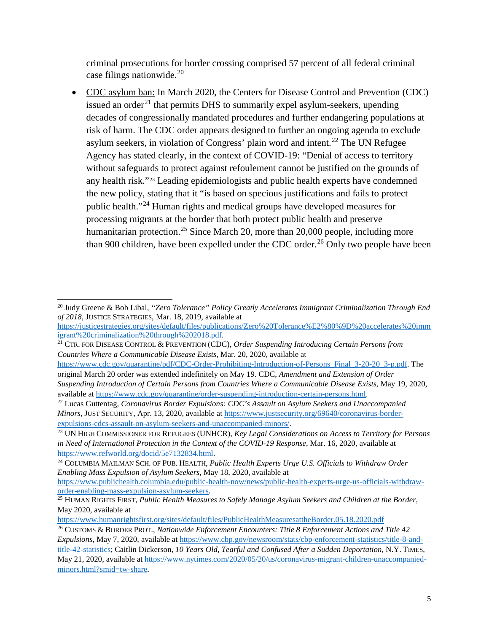criminal prosecutions for border crossing comprised 57 percent of all federal criminal case filings nationwide. $20$ 

• CDC asylum ban: In March 2020, the Centers for Disease Control and Prevention (CDC) issued an order<sup>[21](#page-4-1)</sup> that permits DHS to summarily expel asylum-seekers, upending decades of congressionally mandated procedures and further endangering populations at risk of harm. The CDC order appears designed to further an ongoing agenda to exclude asylum seekers, in violation of Congress' plain word and intent.<sup>[22](#page-4-2)</sup> The UN Refugee Agency has stated clearly, in the context of COVID-19: "Denial of access to territory without safeguards to protect against refoulement cannot be justified on the grounds of any health risk."[23](#page-4-3) Leading epidemiologists and public health experts have condemned the new policy, stating that it "is based on specious justifications and fails to protect public health."[24](#page-4-4) Human rights and medical groups have developed measures for processing migrants at the border that both protect public health and preserve humanitarian protection.<sup>[25](#page-4-5)</sup> Since March 20, more than 20,000 people, including more than 900 children, have been expelled under the CDC order.<sup>[26](#page-4-6)</sup> Only two people have been

<span id="page-4-0"></span> <sup>20</sup> Judy Greene & Bob Libal, *"Zero Tolerance" Policy Greatly Accelerates Immigrant Criminalization Through End of 2018*, JUSTICE STRATEGIES, Mar. 18, 2019, available at

[https://justicestrategies.org/sites/default/files/publications/Zero%20Tolerance%E2%80%9D%20accelerates%20imm](https://justicestrategies.org/sites/default/files/publications/Zero%20Tolerance%E2%80%9D%20accelerates%20immigrant%20criminalization%20through%202018.pdf) [igrant%20criminalization%20through%202018.pdf.](https://justicestrategies.org/sites/default/files/publications/Zero%20Tolerance%E2%80%9D%20accelerates%20immigrant%20criminalization%20through%202018.pdf)

<span id="page-4-1"></span><sup>21</sup> CTR. FOR DISEASE CONTROL & PREVENTION (CDC), *Order Suspending Introducing Certain Persons from Countries Where a Communicable Disease Exists*, Mar. 20, 2020, available at

[https://www.cdc.gov/quarantine/pdf/CDC-Order-Prohibiting-Introduction-of-Persons\\_Final\\_3-20-20\\_3-p.pdf.](https://www.cdc.gov/quarantine/pdf/CDC-Order-Prohibiting-Introduction-of-Persons_Final_3-20-20_3-p.pdf) The original March 20 order was extended indefinitely on May 19. CDC, *Amendment and Extension of Order Suspending Introduction of Certain Persons from Countries Where a Communicable Disease Exists*, May 19, 2020, available at [https://www.cdc.gov/quarantine/order-suspending-introduction-certain-persons.html.](https://www.cdc.gov/quarantine/order-suspending-introduction-certain-persons.html)

<span id="page-4-2"></span><sup>22</sup> Lucas Guttentag, *Coronavirus Border Expulsions: CDC's Assault on Asylum Seekers and Unaccompanied Minors*, JUST SECURITY, Apr. 13, 2020, available at [https://www.justsecurity.org/69640/coronavirus-border](https://www.justsecurity.org/69640/coronavirus-border-expulsions-cdcs-assault-on-asylum-seekers-and-unaccompanied-minors/)[expulsions-cdcs-assault-on-asylum-seekers-and-unaccompanied-minors/.](https://www.justsecurity.org/69640/coronavirus-border-expulsions-cdcs-assault-on-asylum-seekers-and-unaccompanied-minors/)

<span id="page-4-3"></span><sup>23</sup> UN HIGH COMMISSIONER FOR REFUGEES (UNHCR), *Key Legal Considerations on Access to Territory for Persons in Need of International Protection in the Context of the COVID-19 Response*, Mar. 16, 2020, available at [https://www.refworld.org/docid/5e7132834.html.](https://www.refworld.org/docid/5e7132834.html)

<span id="page-4-4"></span><sup>24</sup> COLUMBIA MAILMAN SCH. OF PUB. HEALTH, *Public Health Experts Urge U.S. Officials to Withdraw Order Enabling Mass Expulsion of Asylum Seekers*, May 18, 2020, available at

[https://www.publichealth.columbia.edu/public-health-now/news/public-health-experts-urge-us-officials-withdraw](https://www.publichealth.columbia.edu/public-health-now/news/public-health-experts-urge-us-officials-withdraw-order-enabling-mass-expulsion-asylum-seekers)[order-enabling-mass-expulsion-asylum-seekers.](https://www.publichealth.columbia.edu/public-health-now/news/public-health-experts-urge-us-officials-withdraw-order-enabling-mass-expulsion-asylum-seekers)

<span id="page-4-5"></span><sup>25</sup> HUMAN RIGHTS FIRST, *Public Health Measures to Safely Manage Asylum Seekers and Children at the Border*, May 2020, available at

<https://www.humanrightsfirst.org/sites/default/files/PublicHealthMeasuresattheBorder.05.18.2020.pdf>

<span id="page-4-6"></span><sup>26</sup> CUSTOMS & BORDER PROT., *Nationwide Enforcement Encounters: Title 8 Enforcement Actions and Title 42 Expulsions*, May 7, 2020, available at [https://www.cbp.gov/newsroom/stats/cbp-enforcement-statistics/title-8-and](https://www.cbp.gov/newsroom/stats/cbp-enforcement-statistics/title-8-and-title-42-statistics)[title-42-statistics;](https://www.cbp.gov/newsroom/stats/cbp-enforcement-statistics/title-8-and-title-42-statistics) Caitlin Dickerson, *10 Years Old, Tearful and Confused After a Sudden Deportation*, N.Y. TIMES, May 21, 2020, available at [https://www.nytimes.com/2020/05/20/us/coronavirus-migrant-children-unaccompanied](https://www.nytimes.com/2020/05/20/us/coronavirus-migrant-children-unaccompanied-minors.html?smid=tw-share)[minors.html?smid=tw-share.](https://www.nytimes.com/2020/05/20/us/coronavirus-migrant-children-unaccompanied-minors.html?smid=tw-share)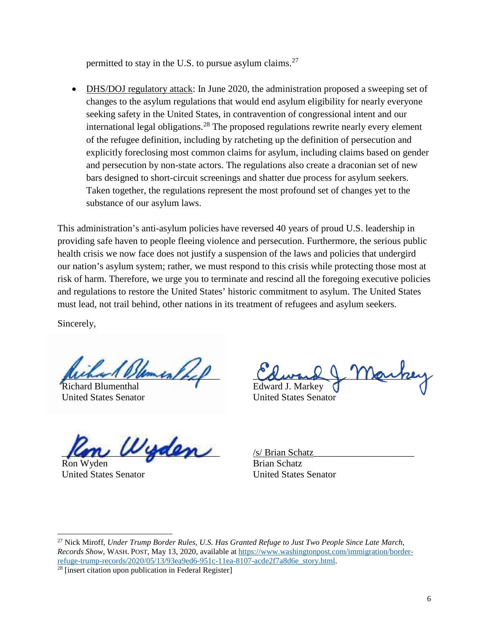permitted to stay in the U.S. to pursue asylum claims. $27$ 

• DHS/DOJ regulatory attack: In June 2020, the administration proposed a sweeping set of changes to the asylum regulations that would end asylum eligibility for nearly everyone seeking safety in the United States, in contravention of congressional intent and our international legal obligations.<sup>[28](#page-5-1)</sup> The proposed regulations rewrite nearly every element of the refugee definition, including by ratcheting up the definition of persecution and explicitly foreclosing most common claims for asylum, including claims based on gender and persecution by non-state actors. The regulations also create a draconian set of new bars designed to short-circuit screenings and shatter due process for asylum seekers. Taken together, the regulations represent the most profound set of changes yet to the substance of our asylum laws.

This administration's anti-asylum policies have reversed 40 years of proud U.S. leadership in providing safe haven to people fleeing violence and persecution. Furthermore, the serious public health crisis we now face does not justify a suspension of the laws and policies that undergird our nation's asylum system; rather, we must respond to this crisis while protecting those most at risk of harm. Therefore, we urge you to terminate and rescind all the foregoing executive policies and regulations to restore the United States' historic commitment to asylum. The United States must lead, not trail behind, other nations in its treatment of refugees and asylum seekers.

Sincerely,

 $\frac{1}{2}$ 

Richard Blumenthal United States Senator

 $\mu_{\rm s}$ 

Ron Wyden United States Senator

 $\alpha$ urun $\sqrt{2}$  laun Edward J. Markey

United States Senator

/s/ Brian Schatz\_\_\_\_\_\_\_\_\_\_\_\_\_\_\_\_\_\_\_\_\_ Brian Schatz United States Senator

<span id="page-5-0"></span> 27 Nick Miroff, *Under Trump Border Rules, U.S. Has Granted Refuge to Just Two People Since Late March, Records Show*, WASH. POST, May 13, 2020, available a[t https://www.washingtonpost.com/immigration/border](https://www.washingtonpost.com/immigration/border-refuge-trump-records/2020/05/13/93ea9ed6-951c-11ea-8107-acde2f7a8d6e_story.html)[refuge-trump-records/2020/05/13/93ea9ed6-951c-11ea-8107-acde2f7a8d6e\\_story.html.](https://www.washingtonpost.com/immigration/border-refuge-trump-records/2020/05/13/93ea9ed6-951c-11ea-8107-acde2f7a8d6e_story.html)

<span id="page-5-1"></span> $28$  [insert citation upon publication in Federal Register]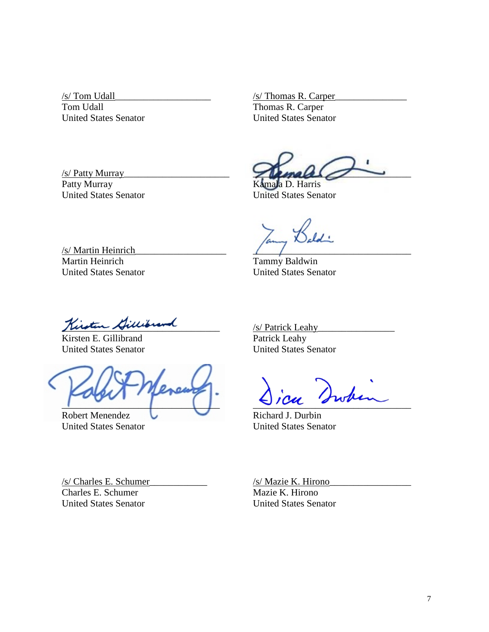$/s/$  Tom Udall Tom Udall United States Senator

 $/s/$  Patty Murray Patty Murray United States Senator

/s/ Thomas R. Carper\_\_\_\_\_\_\_\_\_\_\_\_\_\_\_ Thomas R. Carper United States Senator

 $\sqrt{2\mu}$ 

Kamala D. Harris United States Senator

/s/ Martin Heinrich\_\_\_\_\_\_\_\_\_\_\_\_\_\_\_\_\_\_\_ Martin Heinrich United States Senator

 $\left(\begin{array}{cc} \end{array}\right)$ 

Tammy Baldwin United States Senator

Kinten Sillibur

Kirsten E. Gillibrand United States Senator

 $\mathcal{L}$  and  $\mathcal{L}$  and  $\mathcal{L}$  and  $\mathcal{L}$  are the set of  $\mathcal{L}$ 

Robert Menendez United States Senator

/s/ Patrick Leahy\_\_\_\_\_\_\_\_\_\_\_\_\_\_\_\_ Patrick Leahy United States Senator

Justin

Richard J. Durbin United States Senator

/s/ Charles E. Schumer\_\_\_\_\_\_\_\_\_\_\_\_ Charles E. Schumer United States Senator

/s/ Mazie K. Hirono\_\_\_\_\_\_\_\_\_\_\_\_\_\_\_\_\_ Mazie K. Hirono United States Senator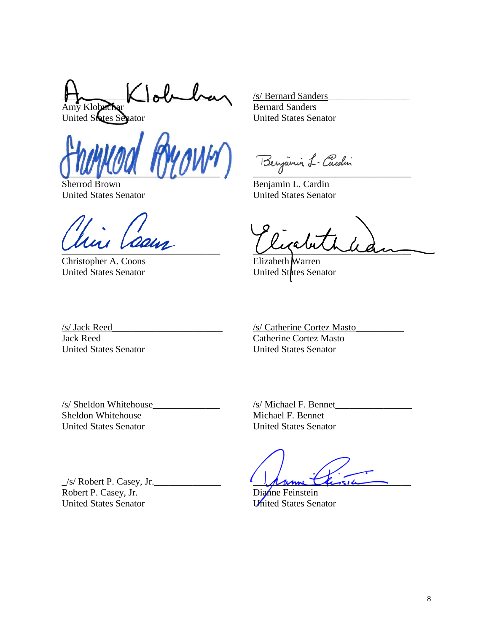$\Box$ Amy Klobuchar

United States Senator

 $U \cdot w$  and  $U \cdot v$ 

Sherrod Brown United States Senator

 $\frac{1}{2}$ 

Christopher A. Coons United States Senator

/s/ Bernard Sanders\_\_\_\_\_\_\_\_\_\_\_\_\_\_\_\_\_ Bernard Sanders United States Senator

Benjamin L- Caudin

Benjamin L. Cardin United States Senator

\_\_\_\_\_\_\_\_\_\_\_\_\_\_\_\_\_\_\_\_\_\_\_\_\_\_\_\_\_\_\_\_\_

Elizabeth Warren United States Senator

/s/ Jack Reed\_\_\_\_\_\_\_\_\_\_\_\_\_\_\_\_\_\_\_\_\_\_\_ Jack Reed United States Senator /s/ Catherine Cortez Masto\_\_\_\_\_\_\_\_\_\_ Catherine Cortez Masto United States Senator

/s/ Sheldon Whitehouse\_\_\_\_\_\_\_\_\_\_\_\_\_\_ Sheldon Whitehouse United States Senator

/s/ Michael F. Bennet\_\_\_\_\_\_\_\_\_\_\_\_\_\_\_\_ Michael F. Bennet United States Senator

 $\mu$ unne Chisik

Dianne Feinstein United States Senator

 $\frac{1}{s}$  Robert P. Casey, Jr. Robert P. Casey, Jr. United States Senator